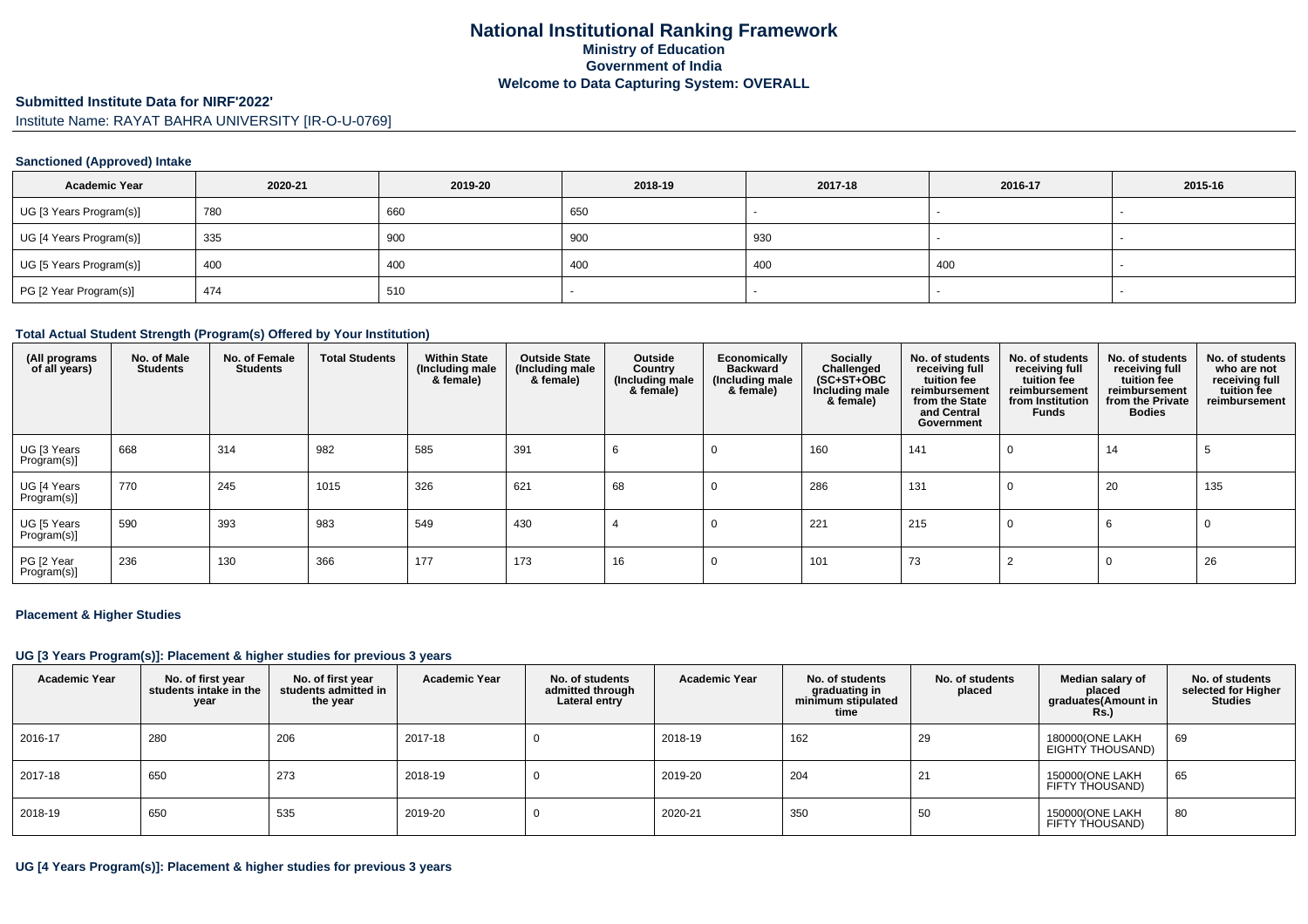#### **Submitted Institute Data for NIRF'2022'**

Institute Name: RAYAT BAHRA UNIVERSITY [IR-O-U-0769]

### **Sanctioned (Approved) Intake**

| <b>Academic Year</b>    | 2020-21 | 2019-20 | 2018-19 | 2017-18 | 2016-17 | 2015-16 |
|-------------------------|---------|---------|---------|---------|---------|---------|
| UG [3 Years Program(s)] | 780     | 660     | 650     |         |         |         |
| UG [4 Years Program(s)] | 335     | 900     | 900     | 930     |         |         |
| UG [5 Years Program(s)] | 400     | 400     | 400     | 400     | 400     | $\sim$  |
| PG [2 Year Program(s)]  | 474     | 510     |         |         |         |         |

#### **Total Actual Student Strength (Program(s) Offered by Your Institution)**

| (All programs<br>of all years) | No. of Male<br><b>Students</b> | No. of Female<br><b>Students</b> | <b>Total Students</b> | <b>Within State</b><br>(Including male<br>& female) | <b>Outside State</b><br>(Including male<br>& female) | Outside<br>Country<br>(Including male)<br>& female) | Economically<br><b>Backward</b><br>(Including male<br>& female) | Socially<br>Challenged<br>$(SC+ST+OBC)$<br>Including male<br>& female) | No. of students<br>receiving full<br>tuition fee<br>reimbursement<br>from the State<br>and Central<br>Government | No. of students<br>receiving full<br>tuition fee<br>reimbursement<br>from Institution<br>Funds | No. of students<br>receiving full<br>tuition fee<br>reimbursement<br>from the Private<br><b>Bodies</b> | No. of students<br>who are not<br>receiving full<br>tuition fee<br>reimbursement |
|--------------------------------|--------------------------------|----------------------------------|-----------------------|-----------------------------------------------------|------------------------------------------------------|-----------------------------------------------------|-----------------------------------------------------------------|------------------------------------------------------------------------|------------------------------------------------------------------------------------------------------------------|------------------------------------------------------------------------------------------------|--------------------------------------------------------------------------------------------------------|----------------------------------------------------------------------------------|
| UG [3 Years<br>Program(s)]     | 668                            | 314                              | 982                   | 585                                                 | 391                                                  | 6                                                   | -0                                                              | 160                                                                    | 141                                                                                                              | 0                                                                                              | 14                                                                                                     |                                                                                  |
| UG [4 Years<br>Program(s)]     | 770                            | 245                              | 1015                  | 326                                                 | 621                                                  | 68                                                  | 0                                                               | 286                                                                    | 131                                                                                                              | 0                                                                                              | 20                                                                                                     | 135                                                                              |
| UG [5 Years<br>Program(s)]     | 590                            | 393                              | 983                   | 549                                                 | 430                                                  |                                                     |                                                                 | 221                                                                    | 215                                                                                                              | $\Omega$                                                                                       |                                                                                                        | 0                                                                                |
| PG [2 Year<br>Program(s)]      | 236                            | 130                              | 366                   | 177                                                 | 173                                                  | 16                                                  |                                                                 | 101                                                                    | 73                                                                                                               |                                                                                                | 0                                                                                                      | 26                                                                               |

#### **Placement & Higher Studies**

#### **UG [3 Years Program(s)]: Placement & higher studies for previous 3 years**

| <b>Academic Year</b> | No. of first year<br>students intake in the<br>year | No. of first vear<br>students admitted in<br>the year | <b>Academic Year</b> | No. of students<br>admitted through<br>Lateral entry | Academic Year | No. of students<br>graduating in<br>minimum stipulated<br>time | No. of students<br>placed | Median salary of<br>placed<br>graduates(Amount in<br><b>Rs.)</b> | No. of students<br>selected for Higher<br><b>Studies</b> |
|----------------------|-----------------------------------------------------|-------------------------------------------------------|----------------------|------------------------------------------------------|---------------|----------------------------------------------------------------|---------------------------|------------------------------------------------------------------|----------------------------------------------------------|
| 2016-17              | 280                                                 | 206                                                   | 2017-18              |                                                      | 2018-19       | 162                                                            | 29                        | 180000(ONE LAKH<br>EIGHTY THOUSAND)                              | 69                                                       |
| 2017-18              | 650                                                 | 273                                                   | 2018-19              | -0                                                   | 2019-20       | 204                                                            | 21                        | 150000(ONE LAKH<br>FIFTY THOUSAND)                               | 65                                                       |
| 2018-19              | 650                                                 | 535                                                   | 2019-20              |                                                      | 2020-21       | 350                                                            | 50                        | 150000(ONE LAKH<br>FIFTY THOUSAND)                               | 80                                                       |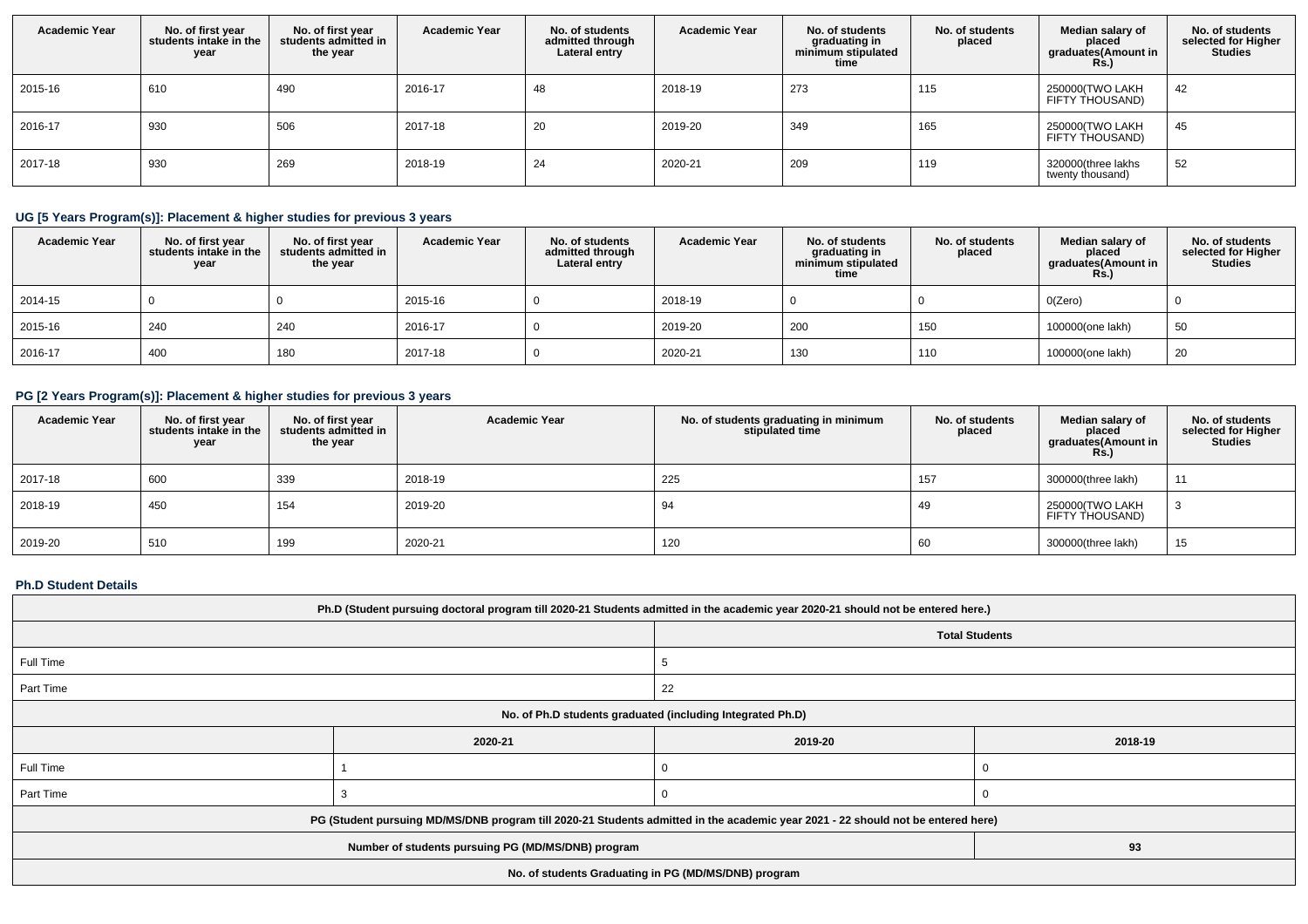| <b>Academic Year</b> | No. of first year<br>students intake in the<br>year | No. of first year<br>students admitted in<br>the year | <b>Academic Year</b> | No. of students<br>admitted through<br>Lateral entry | <b>Academic Year</b> | No. of students<br>graduating in<br>minimum stipulated<br>time | No. of students<br>placed | Median salary of<br>placed<br>graduates(Amount in<br><b>Rs.)</b> | No. of students<br>selected for Higher<br><b>Studies</b> |
|----------------------|-----------------------------------------------------|-------------------------------------------------------|----------------------|------------------------------------------------------|----------------------|----------------------------------------------------------------|---------------------------|------------------------------------------------------------------|----------------------------------------------------------|
| 2015-16              | 610                                                 | 490                                                   | 2016-17              | 48                                                   | 2018-19              | 273                                                            | 115                       | 250000(TWO LAKH<br>FIFTY THOUSAND)                               | 42                                                       |
| 2016-17              | 930                                                 | 506                                                   | 2017-18              | 20                                                   | 2019-20              | 349                                                            | 165                       | 250000(TWO LAKH<br>FIFTY THOUSAND)                               | 45                                                       |
| 2017-18              | 930                                                 | 269                                                   | 2018-19              | 24                                                   | 2020-21              | 209                                                            | 119                       | 320000(three lakhs<br>twenty thousand)                           | 52                                                       |

# **UG [5 Years Program(s)]: Placement & higher studies for previous 3 years**

| <b>Academic Year</b> | No. of first year<br>students intake in the<br>year | No. of first year<br>students admitted in<br>the year | <b>Academic Year</b> | No. of students<br>admitted through<br>Lateral entry | <b>Academic Year</b> | No. of students<br>graduating in<br>minimum stipulated<br>time | No. of students<br>placed | Median salary of<br>placed<br>graduates(Amount in<br>Rs.) | No. of students<br>selected for Higher<br><b>Studies</b> |
|----------------------|-----------------------------------------------------|-------------------------------------------------------|----------------------|------------------------------------------------------|----------------------|----------------------------------------------------------------|---------------------------|-----------------------------------------------------------|----------------------------------------------------------|
| 2014-15              |                                                     |                                                       | 2015-16              |                                                      | 2018-19              |                                                                |                           | O(Zero)                                                   |                                                          |
| 2015-16              | 240                                                 | 240                                                   | 2016-17              |                                                      | 2019-20              | 200                                                            | 150                       | 100000(one lakh)                                          | 50                                                       |
| 2016-17              | 400                                                 | 180                                                   | 2017-18              |                                                      | 2020-21              | 130                                                            | 110                       | 100000(one lakh)                                          | 20                                                       |

# **PG [2 Years Program(s)]: Placement & higher studies for previous 3 years**

| <b>Academic Year</b> | No. of first year<br>students intake in the<br>year | No. of first year<br>students admitted in<br>the year | <b>Academic Year</b> | No. of students graduating in minimum<br>stipulated time | No. of students<br>placed | Median salary of<br>placed<br>graduates(Amount in<br><b>Rs.)</b> | No. of students<br>selected for Higher<br>Studies |
|----------------------|-----------------------------------------------------|-------------------------------------------------------|----------------------|----------------------------------------------------------|---------------------------|------------------------------------------------------------------|---------------------------------------------------|
| 2017-18              | 600                                                 | 339                                                   | 2018-19              | 225                                                      | 157                       | 300000(three lakh)                                               | 11                                                |
| 2018-19              | 450                                                 | 154                                                   | 2019-20              | 94                                                       | 49                        | 250000(TWO LAKH<br>FIFTY THOUSAND)                               |                                                   |
| 2019-20              | 510                                                 | 199                                                   | 2020-21              | 120                                                      | 60                        | 300000(three lakh)                                               | 15                                                |

### **Ph.D Student Details**

| Ph.D (Student pursuing doctoral program till 2020-21 Students admitted in the academic year 2020-21 should not be entered here.) |         |         |         |  |  |
|----------------------------------------------------------------------------------------------------------------------------------|---------|---------|---------|--|--|
| <b>Total Students</b>                                                                                                            |         |         |         |  |  |
| Full Time                                                                                                                        |         |         |         |  |  |
| Part Time                                                                                                                        |         | 22      |         |  |  |
| No. of Ph.D students graduated (including Integrated Ph.D)                                                                       |         |         |         |  |  |
|                                                                                                                                  | 2020-21 | 2019-20 | 2018-19 |  |  |
| Full Time                                                                                                                        |         |         |         |  |  |
| Part Time                                                                                                                        |         |         |         |  |  |
| PG (Student pursuing MD/MS/DNB program till 2020-21 Students admitted in the academic year 2021 - 22 should not be entered here) |         |         |         |  |  |
| 93<br>Number of students pursuing PG (MD/MS/DNB) program                                                                         |         |         |         |  |  |
| No. of students Graduating in PG (MD/MS/DNB) program                                                                             |         |         |         |  |  |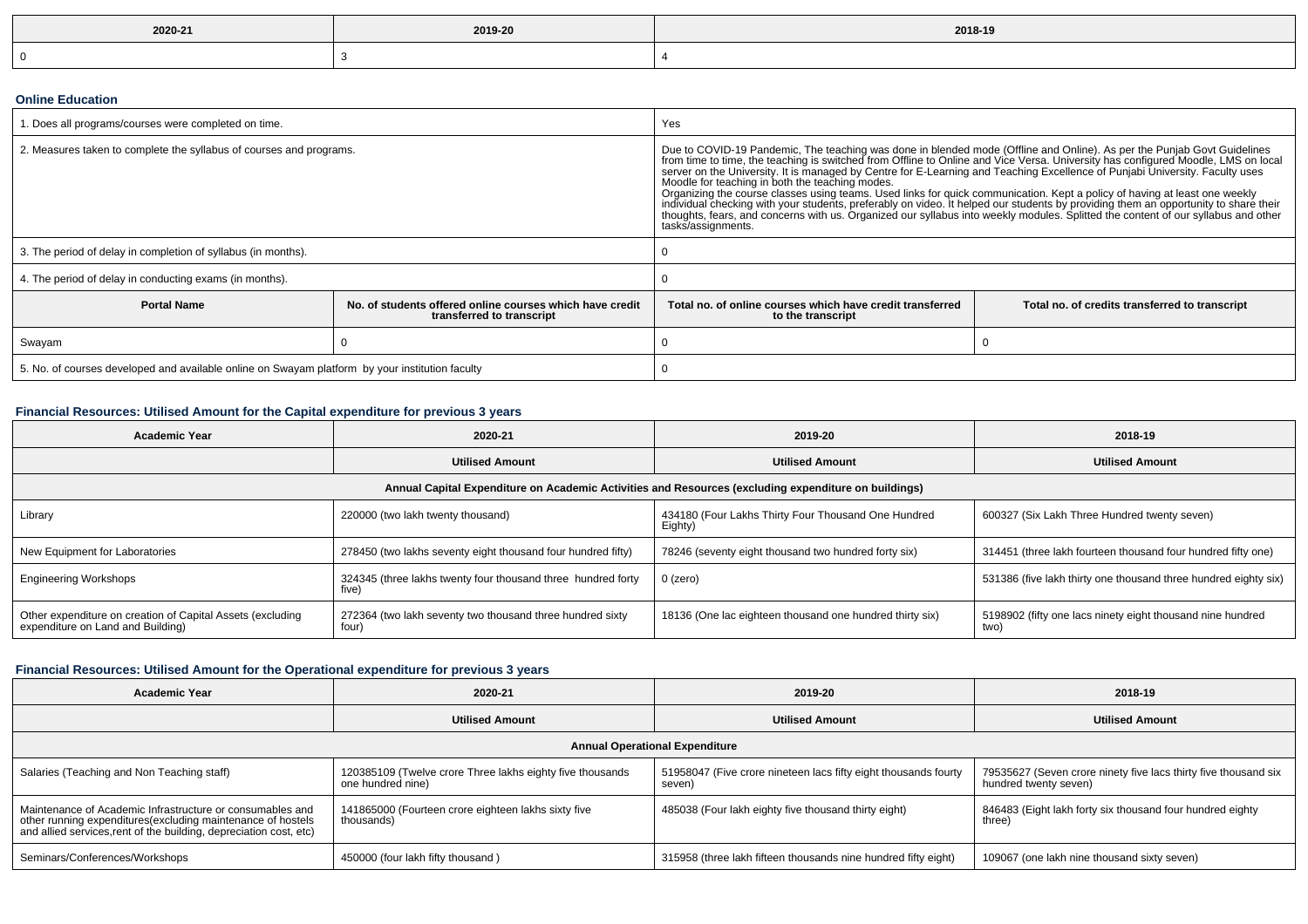| 2020-21 | 2019-20 | 2018-19 |
|---------|---------|---------|
| - 0     |         |         |

### **Online Education**

| . Does all programs/courses were completed on time.                                                         |  | Yes                                                                                                                                                                                                                                                                                                                                                                                                                                                                                                                                                                                                                                                                                                                                                                                                                                            |                                                |  |
|-------------------------------------------------------------------------------------------------------------|--|------------------------------------------------------------------------------------------------------------------------------------------------------------------------------------------------------------------------------------------------------------------------------------------------------------------------------------------------------------------------------------------------------------------------------------------------------------------------------------------------------------------------------------------------------------------------------------------------------------------------------------------------------------------------------------------------------------------------------------------------------------------------------------------------------------------------------------------------|------------------------------------------------|--|
| 2. Measures taken to complete the syllabus of courses and programs.                                         |  | Due to COVID-19 Pandemic, The teaching was done in blended mode (Offline and Online). As per the Punjab Govt Guidelines<br>from time to time, the teaching is switched from Offline to Online and Vice Versa. University has configured Moodle, LMS on local<br>server on the University. It is managed by Centre for E-Learning and Teaching Excellence of<br>Moodle for teaching in both the teaching modes.<br>Organizing the course classes using teams. Used links for quick communication. Kept a policy of having at least one weekly<br>individual checking with your students, preferably on video. It helped our students by providing them an opportunity to share their<br>thoughts, fears, and concerns with us. Organized our syllabus into weekly modules. Splitted the content of our syllabus and other<br>tasks/assignments. |                                                |  |
| 3. The period of delay in completion of syllabus (in months).                                               |  |                                                                                                                                                                                                                                                                                                                                                                                                                                                                                                                                                                                                                                                                                                                                                                                                                                                |                                                |  |
| 4. The period of delay in conducting exams (in months).                                                     |  |                                                                                                                                                                                                                                                                                                                                                                                                                                                                                                                                                                                                                                                                                                                                                                                                                                                |                                                |  |
| <b>Portal Name</b><br>No, of students offered online courses which have credit<br>transferred to transcript |  | Total no, of online courses which have credit transferred<br>to the transcript                                                                                                                                                                                                                                                                                                                                                                                                                                                                                                                                                                                                                                                                                                                                                                 | Total no. of credits transferred to transcript |  |
| Swayam                                                                                                      |  |                                                                                                                                                                                                                                                                                                                                                                                                                                                                                                                                                                                                                                                                                                                                                                                                                                                |                                                |  |
| 5. No. of courses developed and available online on Swayam platform by your institution faculty             |  |                                                                                                                                                                                                                                                                                                                                                                                                                                                                                                                                                                                                                                                                                                                                                                                                                                                |                                                |  |

# **Financial Resources: Utilised Amount for the Capital expenditure for previous 3 years**

| Academic Year                                                                                        | 2020-21                                                               | 2019-20                                                        | 2018-19                                                            |  |  |  |
|------------------------------------------------------------------------------------------------------|-----------------------------------------------------------------------|----------------------------------------------------------------|--------------------------------------------------------------------|--|--|--|
|                                                                                                      | <b>Utilised Amount</b>                                                | <b>Utilised Amount</b>                                         | <b>Utilised Amount</b>                                             |  |  |  |
| Annual Capital Expenditure on Academic Activities and Resources (excluding expenditure on buildings) |                                                                       |                                                                |                                                                    |  |  |  |
| Library                                                                                              | 220000 (two lakh twenty thousand)                                     | 434180 (Four Lakhs Thirty Four Thousand One Hundred<br>Eighty) | 600327 (Six Lakh Three Hundred twenty seven)                       |  |  |  |
| New Equipment for Laboratories                                                                       | 278450 (two lakhs seventy eight thousand four hundred fifty)          | 78246 (seventy eight thousand two hundred forty six)           | 314451 (three lakh fourteen thousand four hundred fifty one)       |  |  |  |
| <b>Engineering Workshops</b>                                                                         | 324345 (three lakhs twenty four thousand three hundred forty<br>five) | $0$ (zero)                                                     | 531386 (five lakh thirty one thousand three hundred eighty six)    |  |  |  |
| Other expenditure on creation of Capital Assets (excluding<br>expenditure on Land and Building)      | 272364 (two lakh seventy two thousand three hundred sixty<br>four)    | 18136 (One lac eighteen thousand one hundred thirty six)       | 5198902 (fifty one lacs ninety eight thousand nine hundred<br>two) |  |  |  |

# **Financial Resources: Utilised Amount for the Operational expenditure for previous 3 years**

| <b>Academic Year</b>                                                                                                                                                                            | 2020-21                                                                        | 2019-20                                                                   | 2018-19                                                                                  |  |  |  |
|-------------------------------------------------------------------------------------------------------------------------------------------------------------------------------------------------|--------------------------------------------------------------------------------|---------------------------------------------------------------------------|------------------------------------------------------------------------------------------|--|--|--|
|                                                                                                                                                                                                 | <b>Utilised Amount</b>                                                         | <b>Utilised Amount</b>                                                    | <b>Utilised Amount</b>                                                                   |  |  |  |
| <b>Annual Operational Expenditure</b>                                                                                                                                                           |                                                                                |                                                                           |                                                                                          |  |  |  |
| Salaries (Teaching and Non Teaching staff)                                                                                                                                                      | 120385109 (Twelve crore Three lakhs eighty five thousands<br>one hundred nine) | 51958047 (Five crore nineteen lacs fifty eight thousands fourty<br>seven) | 79535627 (Seven crore ninety five lacs thirty five thousand six<br>hundred twenty seven) |  |  |  |
| Maintenance of Academic Infrastructure or consumables and<br>other running expenditures (excluding maintenance of hostels<br>and allied services, rent of the building, depreciation cost, etc) | 141865000 (Fourteen crore eighteen lakhs sixty five<br>thousands)              | 485038 (Four lakh eighty five thousand thirty eight)                      | 846483 (Eight lakh forty six thousand four hundred eighty<br>three)                      |  |  |  |
| Seminars/Conferences/Workshops                                                                                                                                                                  | 450000 (four lakh fifty thousand)                                              | 315958 (three lakh fifteen thousands nine hundred fifty eight)            | 109067 (one lakh nine thousand sixty seven)                                              |  |  |  |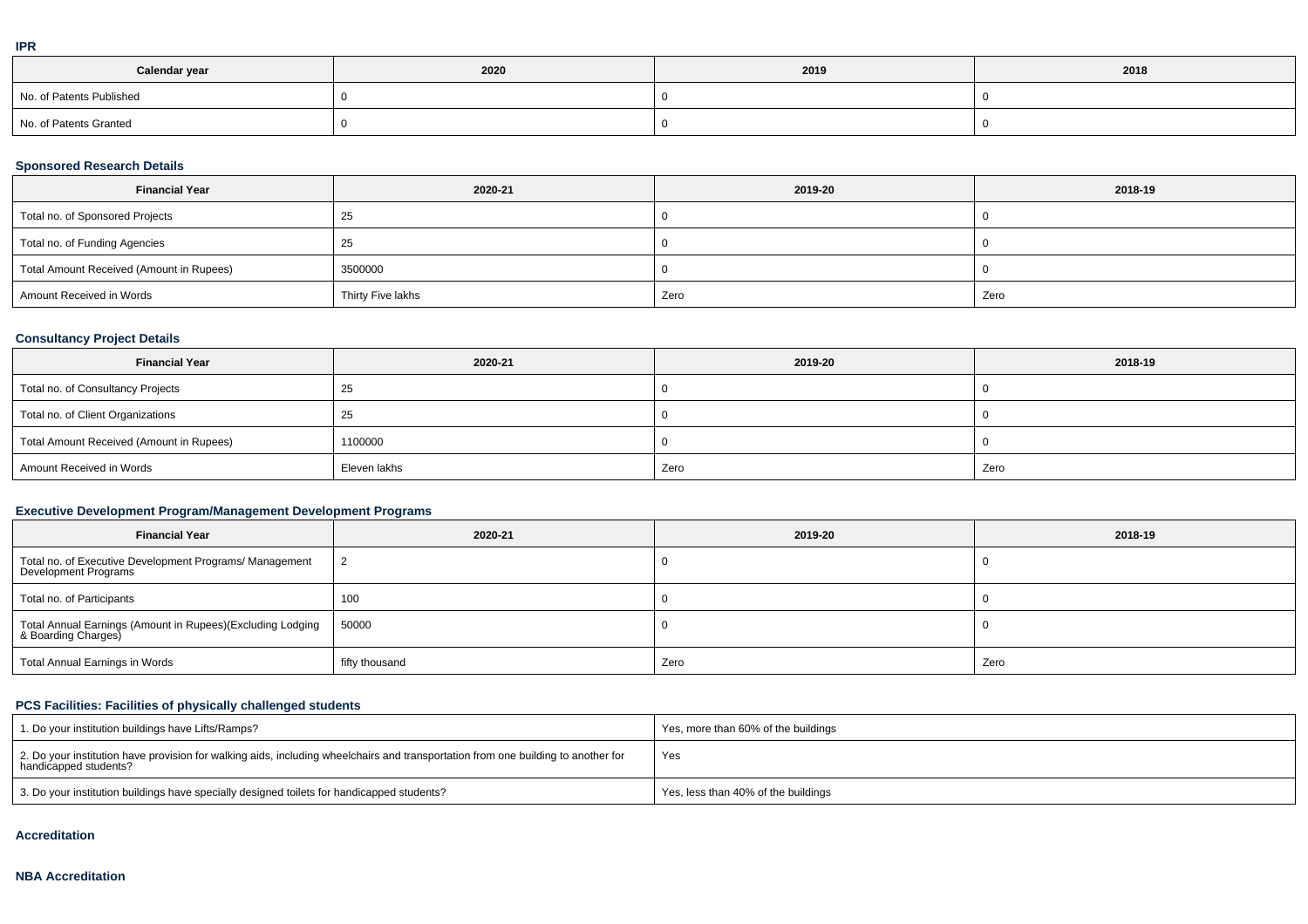|  | ۰ |
|--|---|
|  |   |
|  |   |
|  |   |

| Calendar year            | 2020 | 2019 | 2018 |
|--------------------------|------|------|------|
| No. of Patents Published |      |      |      |
| No. of Patents Granted   |      |      |      |

### **Sponsored Research Details**

| <b>Financial Year</b>                    | 2020-21           | 2019-20 | 2018-19 |
|------------------------------------------|-------------------|---------|---------|
| Total no. of Sponsored Projects          | ںے                |         |         |
| Total no. of Funding Agencies            | -25               |         |         |
| Total Amount Received (Amount in Rupees) | 3500000           |         |         |
| Amount Received in Words                 | Thirty Five lakhs | Zero    | Zero    |

### **Consultancy Project Details**

| <b>Financial Year</b>                    | 2020-21      | 2019-20 | 2018-19 |
|------------------------------------------|--------------|---------|---------|
| Total no. of Consultancy Projects        | ∠ວ           |         |         |
| Total no. of Client Organizations        | ںے           |         |         |
| Total Amount Received (Amount in Rupees) | 1100000      |         |         |
| Amount Received in Words                 | Eleven lakhs | Zero    | Zero    |

### **Executive Development Program/Management Development Programs**

| <b>Financial Year</b>                                                             | 2020-21        | 2019-20 | 2018-19 |
|-----------------------------------------------------------------------------------|----------------|---------|---------|
| Total no. of Executive Development Programs/ Management<br>Development Programs   | $\overline{2}$ |         |         |
| Total no. of Participants                                                         | 100            |         |         |
| Total Annual Earnings (Amount in Rupees)(Excluding Lodging<br>& Boarding Charges) | 50000          |         |         |
| Total Annual Earnings in Words                                                    | fifty thousand | Zero    | Zero    |

# **PCS Facilities: Facilities of physically challenged students**

| 1. Do your institution buildings have Lifts/Ramps?                                                                                                         | Yes, more than 60% of the buildings |
|------------------------------------------------------------------------------------------------------------------------------------------------------------|-------------------------------------|
| 2. Do your institution have provision for walking aids, including wheelchairs and transportation from one building to another for<br>handicapped students? | Yes                                 |
| 3. Do your institution buildings have specially designed toilets for handicapped students?                                                                 | Yes, less than 40% of the buildings |

#### **Accreditation**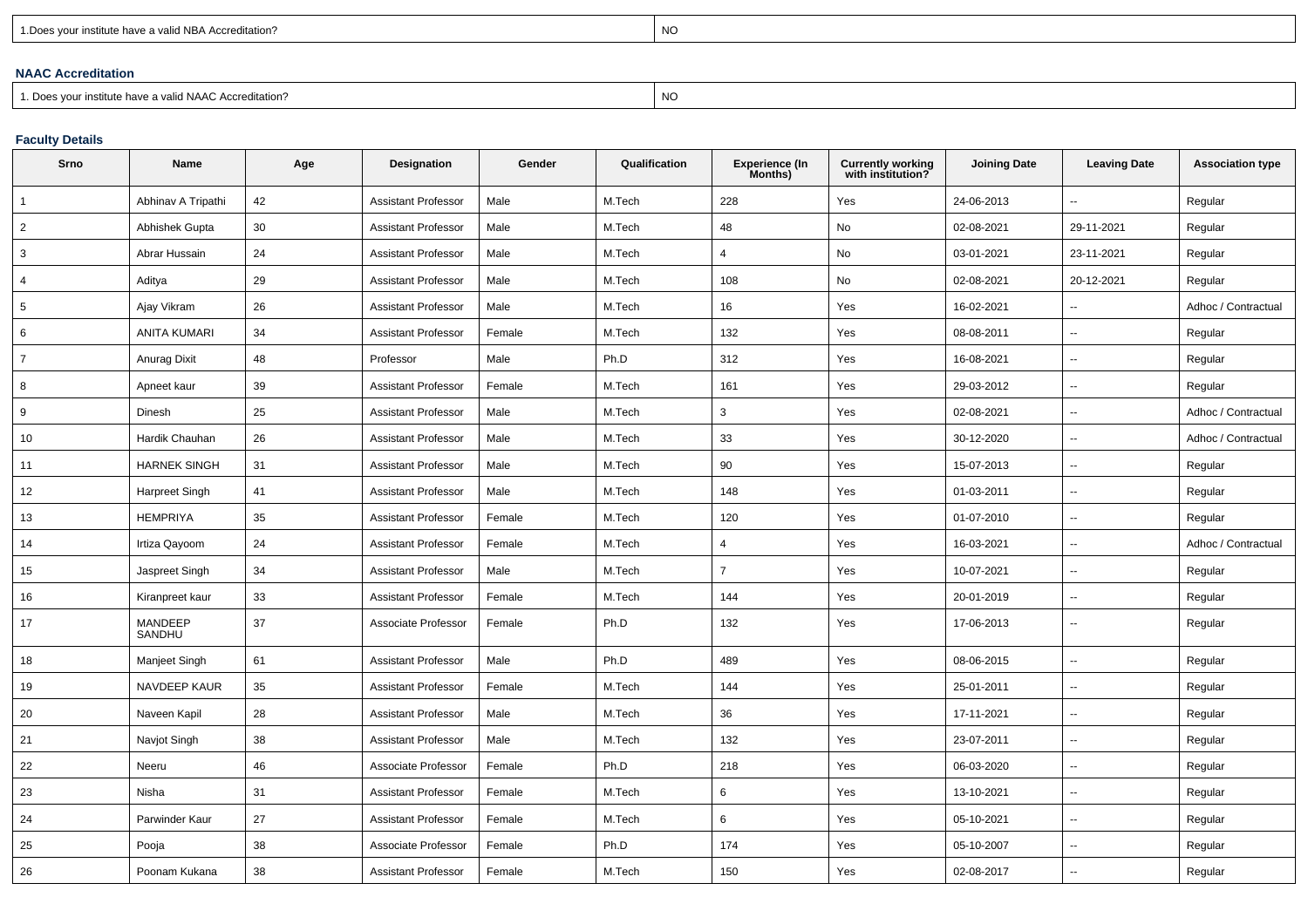| 1. Does your institute have a valid NBA Accreditation? |  |
|--------------------------------------------------------|--|
|                                                        |  |

expression of the contract of the contract of the contract of the contract of the contract of the contract of the contract of the contract of the contract of the contract of the contract of the contract of the contract of

### **NAAC Accreditation**

1. Does your institute have a valid NAAC Accreditation?

expression of the contract of the contract of the contract of the contract of the contract of the contract of the contract of the contract of the contract of the contract of the contract of the contract of the contract of

# **Faculty Details**

| Srno           | Name                | Age | Designation                | Gender | Qualification | <b>Experience (In</b><br>Months) | Currently working<br>with institution? | <b>Joining Date</b> | <b>Leaving Date</b>      | <b>Association type</b> |
|----------------|---------------------|-----|----------------------------|--------|---------------|----------------------------------|----------------------------------------|---------------------|--------------------------|-------------------------|
| 1              | Abhinav A Tripathi  | 42  | <b>Assistant Professor</b> | Male   | M.Tech        | 228                              | Yes                                    | 24-06-2013          | $\overline{\phantom{a}}$ | Regular                 |
| $\overline{2}$ | Abhishek Gupta      | 30  | <b>Assistant Professor</b> | Male   | M.Tech        | 48                               | No                                     | 02-08-2021          | 29-11-2021               | Regular                 |
| 3              | Abrar Hussain       | 24  | <b>Assistant Professor</b> | Male   | M.Tech        | $\overline{4}$                   | No                                     | 03-01-2021          | 23-11-2021               | Regular                 |
| 4              | Aditya              | 29  | <b>Assistant Professor</b> | Male   | M.Tech        | 108                              | No                                     | 02-08-2021          | 20-12-2021               | Regular                 |
| 5              | Ajay Vikram         | 26  | <b>Assistant Professor</b> | Male   | M.Tech        | 16                               | Yes                                    | 16-02-2021          | ÷.                       | Adhoc / Contractual     |
| 6              | <b>ANITA KUMARI</b> | 34  | <b>Assistant Professor</b> | Female | M.Tech        | 132                              | Yes                                    | 08-08-2011          | $\overline{\phantom{a}}$ | Regular                 |
| $\overline{7}$ | <b>Anurag Dixit</b> | 48  | Professor                  | Male   | Ph.D          | 312                              | Yes                                    | 16-08-2021          | $\sim$                   | Regular                 |
| 8              | Apneet kaur         | 39  | <b>Assistant Professor</b> | Female | M.Tech        | 161                              | Yes                                    | 29-03-2012          | ÷.                       | Regular                 |
| 9              | Dinesh              | 25  | <b>Assistant Professor</b> | Male   | M.Tech        | 3                                | Yes                                    | 02-08-2021          | ⊷.                       | Adhoc / Contractual     |
| 10             | Hardik Chauhan      | 26  | <b>Assistant Professor</b> | Male   | M.Tech        | 33                               | Yes                                    | 30-12-2020          | $\mathbf{u}$             | Adhoc / Contractual     |
| 11             | <b>HARNEK SINGH</b> | 31  | <b>Assistant Professor</b> | Male   | M.Tech        | 90                               | Yes                                    | 15-07-2013          | $\overline{\phantom{a}}$ | Regular                 |
| 12             | Harpreet Singh      | 41  | <b>Assistant Professor</b> | Male   | M.Tech        | 148                              | Yes                                    | 01-03-2011          | ⊷.                       | Regular                 |
| 13             | <b>HEMPRIYA</b>     | 35  | <b>Assistant Professor</b> | Female | M.Tech        | 120                              | Yes                                    | 01-07-2010          | $\overline{\phantom{a}}$ | Regular                 |
| 14             | Irtiza Qayoom       | 24  | <b>Assistant Professor</b> | Female | M.Tech        | $\overline{4}$                   | Yes                                    | 16-03-2021          | ÷.                       | Adhoc / Contractual     |
| 15             | Jaspreet Singh      | 34  | <b>Assistant Professor</b> | Male   | M.Tech        | $\overline{7}$                   | Yes                                    | 10-07-2021          | $\sim$                   | Regular                 |
| 16             | Kiranpreet kaur     | 33  | <b>Assistant Professor</b> | Female | M.Tech        | 144                              | Yes                                    | 20-01-2019          | ÷.                       | Regular                 |
| 17             | MANDEEP<br>SANDHU   | 37  | Associate Professor        | Female | Ph.D          | 132                              | Yes                                    | 17-06-2013          | $\overline{\phantom{a}}$ | Regular                 |
| 18             | Manjeet Singh       | 61  | <b>Assistant Professor</b> | Male   | Ph.D          | 489                              | Yes                                    | 08-06-2015          | ÷.                       | Regular                 |
| 19             | NAVDEEP KAUR        | 35  | <b>Assistant Professor</b> | Female | M.Tech        | 144                              | Yes                                    | 25-01-2011          | $\overline{\phantom{a}}$ | Regular                 |
| 20             | Naveen Kapil        | 28  | <b>Assistant Professor</b> | Male   | M.Tech        | 36                               | Yes                                    | 17-11-2021          | $\overline{\phantom{a}}$ | Regular                 |
| 21             | Navjot Singh        | 38  | <b>Assistant Professor</b> | Male   | M.Tech        | 132                              | Yes                                    | 23-07-2011          | ÷.                       | Regular                 |
| 22             | Neeru               | 46  | Associate Professor        | Female | Ph.D          | 218                              | Yes                                    | 06-03-2020          | $\sim$                   | Regular                 |
| 23             | Nisha               | 31  | <b>Assistant Professor</b> | Female | M.Tech        | 6                                | Yes                                    | 13-10-2021          | $\overline{\phantom{a}}$ | Regular                 |
| 24             | Parwinder Kaur      | 27  | <b>Assistant Professor</b> | Female | M.Tech        | 6                                | Yes                                    | 05-10-2021          | $\overline{\phantom{a}}$ | Regular                 |
| 25             | Pooja               | 38  | Associate Professor        | Female | Ph.D          | 174                              | Yes                                    | 05-10-2007          | $\mathbf{u}$             | Regular                 |
| 26             | Poonam Kukana       | 38  | <b>Assistant Professor</b> | Female | M.Tech        | 150                              | Yes                                    | 02-08-2017          |                          | Regular                 |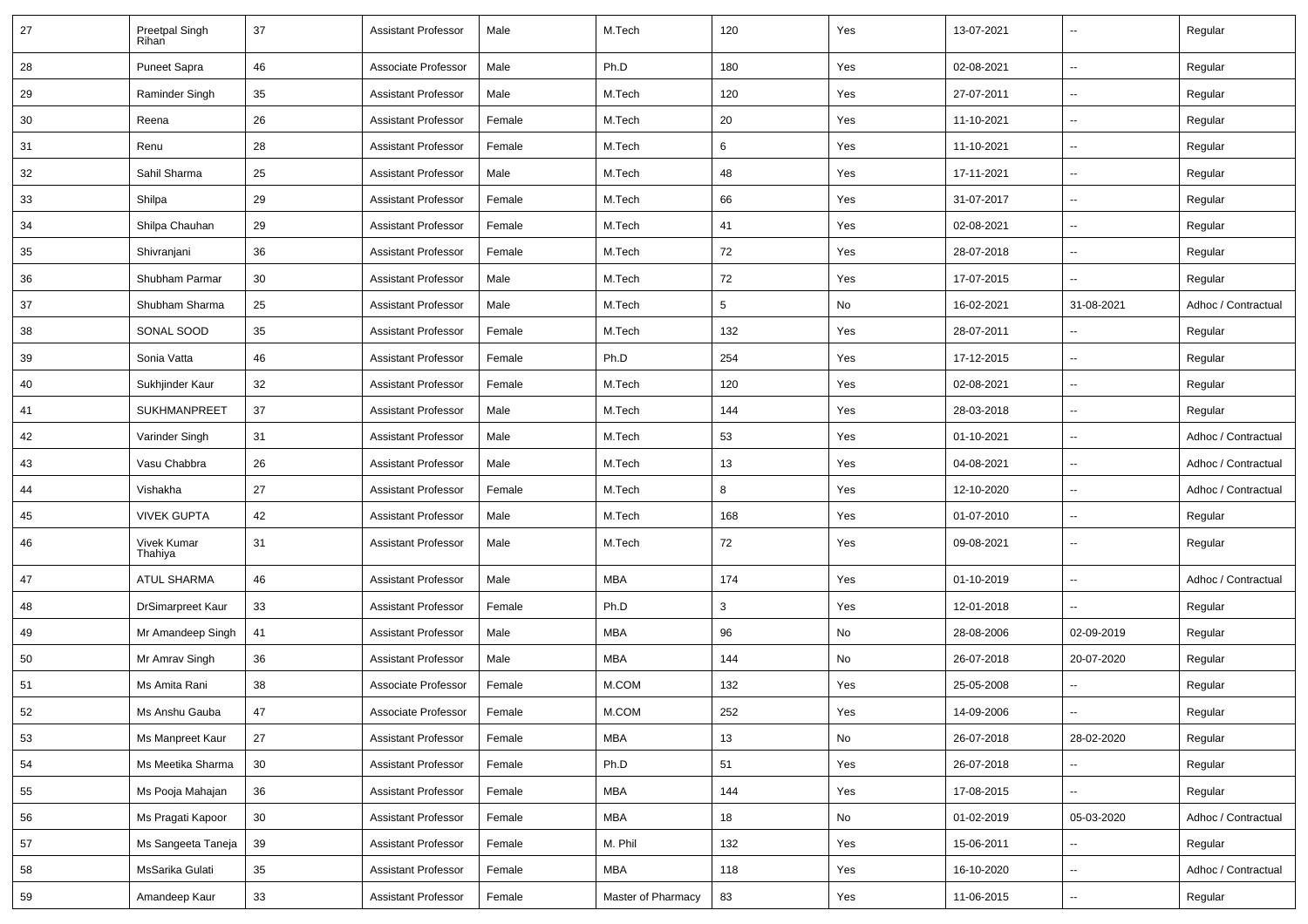| 27 | Preetpal Singh<br>Rihan  | 37              | <b>Assistant Professor</b> | Male   | M.Tech              | 120             | Yes | 13-07-2021 | $\overline{\phantom{a}}$ | Regular             |
|----|--------------------------|-----------------|----------------------------|--------|---------------------|-----------------|-----|------------|--------------------------|---------------------|
| 28 | Puneet Sapra             | 46              | Associate Professor        | Male   | Ph.D                | 180             | Yes | 02-08-2021 | $\sim$                   | Regular             |
| 29 | Raminder Singh           | 35              | <b>Assistant Professor</b> | Male   | M.Tech              | 120             | Yes | 27-07-2011 | ⊷.                       | Regular             |
| 30 | Reena                    | 26              | <b>Assistant Professor</b> | Female | M.Tech              | 20              | Yes | 11-10-2021 | $\overline{\phantom{a}}$ | Regular             |
| 31 | Renu                     | 28              | <b>Assistant Professor</b> | Female | M.Tech              | 6               | Yes | 11-10-2021 | $\overline{\phantom{a}}$ | Regular             |
| 32 | Sahil Sharma             | 25              | <b>Assistant Professor</b> | Male   | M.Tech              | 48              | Yes | 17-11-2021 | $\overline{\phantom{a}}$ | Regular             |
| 33 | Shilpa                   | 29              | <b>Assistant Professor</b> | Female | M.Tech              | 66              | Yes | 31-07-2017 | $\sim$                   | Regular             |
| 34 | Shilpa Chauhan           | 29              | <b>Assistant Professor</b> | Female | M.Tech              | 41              | Yes | 02-08-2021 | $\sim$                   | Regular             |
| 35 | Shivranjani              | 36              | <b>Assistant Professor</b> | Female | M.Tech              | 72              | Yes | 28-07-2018 | ⊷.                       | Regular             |
| 36 | Shubham Parmar           | 30              | <b>Assistant Professor</b> | Male   | M.Tech              | 72              | Yes | 17-07-2015 | Ξ.                       | Regular             |
| 37 | Shubham Sharma           | 25              | <b>Assistant Professor</b> | Male   | M.Tech              | $5\phantom{.0}$ | No  | 16-02-2021 | 31-08-2021               | Adhoc / Contractual |
| 38 | SONAL SOOD               | 35              | <b>Assistant Professor</b> | Female | M.Tech              | 132             | Yes | 28-07-2011 | -−                       | Regular             |
| 39 | Sonia Vatta              | 46              | <b>Assistant Professor</b> | Female | Ph.D                | 254             | Yes | 17-12-2015 | $\sim$                   | Regular             |
| 40 | Sukhjinder Kaur          | 32              | <b>Assistant Professor</b> | Female | M.Tech              | 120             | Yes | 02-08-2021 | $\overline{\phantom{a}}$ | Regular             |
| 41 | <b>SUKHMANPREET</b>      | 37              | <b>Assistant Professor</b> | Male   | M.Tech              | 144             | Yes | 28-03-2018 | $\sim$                   | Regular             |
| 42 | Varinder Singh           | 31              | <b>Assistant Professor</b> | Male   | M.Tech              | 53              | Yes | 01-10-2021 | Ξ.                       | Adhoc / Contractual |
| 43 | Vasu Chabbra             | 26              | <b>Assistant Professor</b> | Male   | M.Tech              | 13              | Yes | 04-08-2021 | $\overline{\phantom{a}}$ | Adhoc / Contractual |
| 44 | Vishakha                 | 27              | <b>Assistant Professor</b> | Female | M.Tech              | 8               | Yes | 12-10-2020 | --                       | Adhoc / Contractual |
| 45 | <b>VIVEK GUPTA</b>       | 42              | <b>Assistant Professor</b> | Male   | M.Tech              | 168             | Yes | 01-07-2010 | $\overline{\phantom{a}}$ | Regular             |
| 46 | Vivek Kumar<br>Thahiya   | 31              | <b>Assistant Professor</b> | Male   | M.Tech              | 72              | Yes | 09-08-2021 | ⊶.                       | Regular             |
| 47 | <b>ATUL SHARMA</b>       | 46              | <b>Assistant Professor</b> | Male   | <b>MBA</b>          | 174             | Yes | 01-10-2019 | ш.                       | Adhoc / Contractual |
| 48 | <b>DrSimarpreet Kaur</b> | 33              | <b>Assistant Professor</b> | Female | Ph.D                | 3               | Yes | 12-01-2018 | $\overline{\phantom{a}}$ | Regular             |
| 49 | Mr Amandeep Singh        | 41              | <b>Assistant Professor</b> | Male   | MBA                 | 96              | No  | 28-08-2006 | 02-09-2019               | Regular             |
| 50 | Mr Amrav Singh           | 36              | <b>Assistant Professor</b> | Male   | MBA                 | 144             | No  | 26-07-2018 | 20-07-2020               | Regular             |
| 51 | Ms Amita Rani            | 38              | Associate Professor        | Female | M.COM               | 132             | Yes | 25-05-2008 | -−                       | Regular             |
| 52 | Ms Anshu Gauba           | 47              | Associate Professor        | Female | $M_{\rm \star}$ COM | 252             | Yes | 14-09-2006 |                          | Regular             |
| 53 | Ms Manpreet Kaur         | 27              | <b>Assistant Professor</b> | Female | <b>MBA</b>          | 13              | No  | 26-07-2018 | 28-02-2020               | Regular             |
| 54 | Ms Meetika Sharma        | 30 <sup>°</sup> | <b>Assistant Professor</b> | Female | Ph.D                | 51              | Yes | 26-07-2018 | щ.                       | Regular             |
| 55 | Ms Pooja Mahajan         | 36              | <b>Assistant Professor</b> | Female | MBA                 | 144             | Yes | 17-08-2015 | ш.                       | Regular             |
| 56 | Ms Pragati Kapoor        | 30              | <b>Assistant Professor</b> | Female | MBA                 | 18              | No  | 01-02-2019 | 05-03-2020               | Adhoc / Contractual |
| 57 | Ms Sangeeta Taneja       | 39              | <b>Assistant Professor</b> | Female | M. Phil             | 132             | Yes | 15-06-2011 |                          | Regular             |
| 58 | MsSarika Gulati          | 35              | <b>Assistant Professor</b> | Female | MBA                 | 118             | Yes | 16-10-2020 | Щ.                       | Adhoc / Contractual |
| 59 | Amandeep Kaur            | 33              | <b>Assistant Professor</b> | Female | Master of Pharmacy  | 83              | Yes | 11-06-2015 | $\overline{\phantom{a}}$ | Regular             |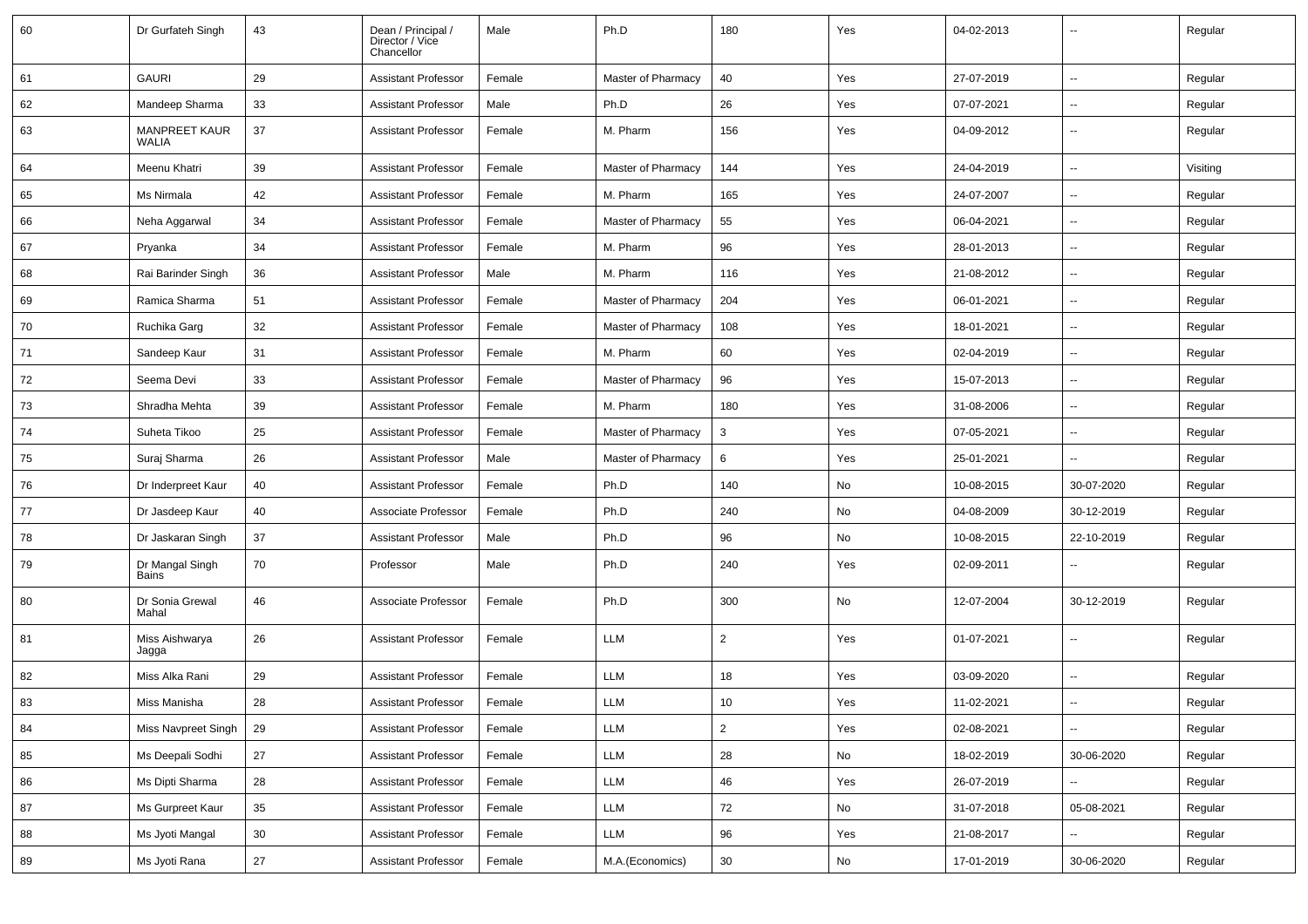| 60 | Dr Gurfateh Singh                    | 43     | Dean / Principal /<br>Director / Vice<br>Chancellor | Male   | Ph.D               | 180            | Yes           | 04-02-2013 | $\overline{\phantom{a}}$ | Regular  |
|----|--------------------------------------|--------|-----------------------------------------------------|--------|--------------------|----------------|---------------|------------|--------------------------|----------|
| 61 | <b>GAURI</b>                         | 29     | <b>Assistant Professor</b>                          | Female | Master of Pharmacy | 40             | Yes           | 27-07-2019 | $\overline{\phantom{a}}$ | Regular  |
| 62 | Mandeep Sharma                       | 33     | Assistant Professor                                 | Male   | Ph.D               | 26             | Yes           | 07-07-2021 | $\overline{\phantom{a}}$ | Regular  |
| 63 | <b>MANPREET KAUR</b><br><b>WALIA</b> | 37     | <b>Assistant Professor</b>                          | Female | M. Pharm           | 156            | Yes           | 04-09-2012 | $\overline{\phantom{a}}$ | Regular  |
| 64 | Meenu Khatri                         | 39     | <b>Assistant Professor</b>                          | Female | Master of Pharmacy | 144            | Yes           | 24-04-2019 | $\mathbf{u}$             | Visiting |
| 65 | Ms Nirmala                           | 42     | <b>Assistant Professor</b>                          | Female | M. Pharm           | 165            | Yes           | 24-07-2007 | $\overline{\phantom{a}}$ | Regular  |
| 66 | Neha Aggarwal                        | 34     | <b>Assistant Professor</b>                          | Female | Master of Pharmacy | 55             | Yes           | 06-04-2021 | $\overline{\phantom{a}}$ | Regular  |
| 67 | Pryanka                              | 34     | <b>Assistant Professor</b>                          | Female | M. Pharm           | 96             | Yes           | 28-01-2013 | Ξ.                       | Regular  |
| 68 | Rai Barinder Singh                   | 36     | <b>Assistant Professor</b>                          | Male   | M. Pharm           | 116            | Yes           | 21-08-2012 | $\overline{\phantom{a}}$ | Regular  |
| 69 | Ramica Sharma                        | 51     | <b>Assistant Professor</b>                          | Female | Master of Pharmacy | 204            | Yes           | 06-01-2021 | $\overline{\phantom{a}}$ | Regular  |
| 70 | Ruchika Garg                         | 32     | <b>Assistant Professor</b>                          | Female | Master of Pharmacy | 108            | Yes           | 18-01-2021 | $\mathbf{u}$             | Regular  |
| 71 | Sandeep Kaur                         | 31     | <b>Assistant Professor</b>                          | Female | M. Pharm           | 60             | Yes           | 02-04-2019 | $\overline{\phantom{a}}$ | Regular  |
| 72 | Seema Devi                           | 33     | <b>Assistant Professor</b>                          | Female | Master of Pharmacy | 96             | Yes           | 15-07-2013 | $\overline{\phantom{a}}$ | Regular  |
| 73 | Shradha Mehta                        | 39     | <b>Assistant Professor</b>                          | Female | M. Pharm           | 180            | Yes           | 31-08-2006 | $\overline{\phantom{a}}$ | Regular  |
| 74 | Suheta Tikoo                         | 25     | <b>Assistant Professor</b>                          | Female | Master of Pharmacy | 3              | Yes           | 07-05-2021 | $\overline{\phantom{a}}$ | Regular  |
| 75 | Suraj Sharma                         | 26     | <b>Assistant Professor</b>                          | Male   | Master of Pharmacy | 6              | Yes           | 25-01-2021 | $\overline{\phantom{a}}$ | Regular  |
| 76 | Dr Inderpreet Kaur                   | 40     | Assistant Professor                                 | Female | Ph.D               | 140            | No            | 10-08-2015 | 30-07-2020               | Regular  |
| 77 | Dr Jasdeep Kaur                      | 40     | Associate Professor                                 | Female | Ph.D               | 240            | No            | 04-08-2009 | 30-12-2019               | Regular  |
| 78 | Dr Jaskaran Singh                    | 37     | <b>Assistant Professor</b>                          | Male   | Ph.D               | 96             | No            | 10-08-2015 | 22-10-2019               | Regular  |
| 79 | Dr Mangal Singh<br>Bains             | 70     | Professor                                           | Male   | Ph.D               | 240            | Yes           | 02-09-2011 | $\overline{\phantom{a}}$ | Regular  |
| 80 | Dr Sonia Grewal<br>Mahal             | 46     | Associate Professor                                 | Female | Ph.D               | 300            | No            | 12-07-2004 | 30-12-2019               | Regular  |
| 81 | Miss Aishwarya<br>Jagga              | 26     | <b>Assistant Professor</b>                          | Female | LLM                | 2              | Yes           | 01-07-2021 | Ξ.                       | Regular  |
| 82 | Miss Alka Rani                       | 29     | <b>Assistant Professor</b>                          | Female | LLM                | 18             | Yes           | 03-09-2020 | Ξ.                       | Regular  |
| 83 | Miss Manisha                         | 28     | <b>Assistant Professor</b>                          | Female | LLM                | 10             | Yes           | 11-02-2021 | $\overline{\phantom{a}}$ | Regular  |
| 84 | Miss Navpreet Singh                  | 29     | <b>Assistant Professor</b>                          | Female | LLM                | $\overline{2}$ | Yes           | 02-08-2021 | щ.                       | Regular  |
| 85 | Ms Deepali Sodhi                     | 27     | <b>Assistant Professor</b>                          | Female | LLM                | 28             | No            | 18-02-2019 | 30-06-2020               | Regular  |
| 86 | Ms Dipti Sharma                      | 28     | <b>Assistant Professor</b>                          | Female | LLM                | 46             | Yes           | 26-07-2019 | Ξ.                       | Regular  |
| 87 | Ms Gurpreet Kaur                     | 35     | <b>Assistant Professor</b>                          | Female | LLM                | 72             | $\mathsf{No}$ | 31-07-2018 | 05-08-2021               | Regular  |
| 88 | Ms Jyoti Mangal                      | 30     | <b>Assistant Professor</b>                          | Female | LLM                | 96             | Yes           | 21-08-2017 | Щ,                       | Regular  |
| 89 | Ms Jyoti Rana                        | $27\,$ | <b>Assistant Professor</b>                          | Female | M.A.(Economics)    | 30             | No            | 17-01-2019 | 30-06-2020               | Regular  |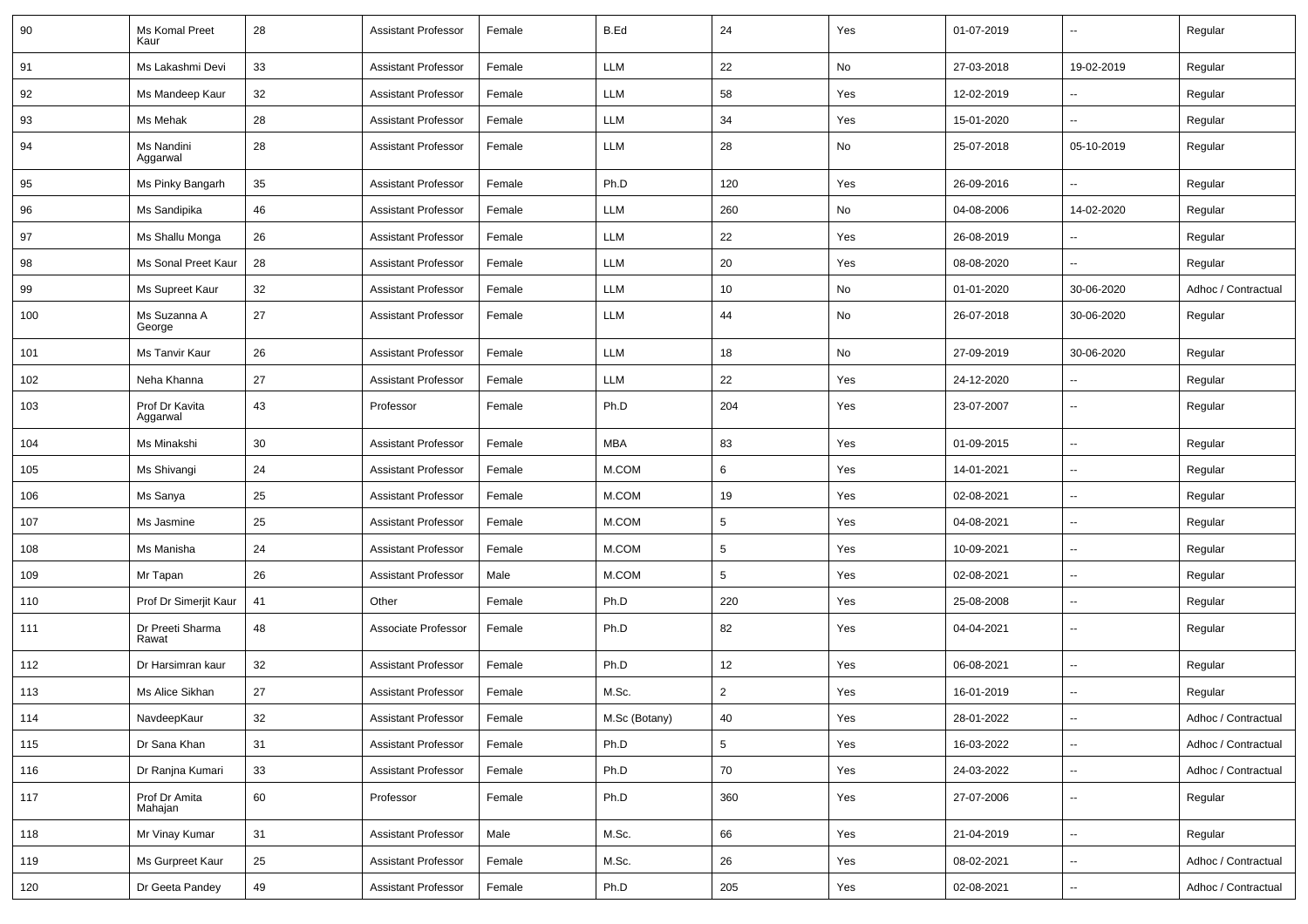| 90  | Ms Komal Preet<br>Kaur     | 28 | <b>Assistant Professor</b> | Female | B.Ed          | 24              | Yes | 01-07-2019 | $\sim$                   | Regular             |
|-----|----------------------------|----|----------------------------|--------|---------------|-----------------|-----|------------|--------------------------|---------------------|
| 91  | Ms Lakashmi Devi           | 33 | <b>Assistant Professor</b> | Female | LLM           | 22              | No  | 27-03-2018 | 19-02-2019               | Regular             |
| 92  | Ms Mandeep Kaur            | 32 | <b>Assistant Professor</b> | Female | LLM           | 58              | Yes | 12-02-2019 | $\sim$                   | Regular             |
| 93  | Ms Mehak                   | 28 | <b>Assistant Professor</b> | Female | LLM           | 34              | Yes | 15-01-2020 | $\overline{a}$           | Regular             |
| 94  | Ms Nandini<br>Aggarwal     | 28 | <b>Assistant Professor</b> | Female | <b>LLM</b>    | 28              | No  | 25-07-2018 | 05-10-2019               | Regular             |
| 95  | Ms Pinky Bangarh           | 35 | <b>Assistant Professor</b> | Female | Ph.D          | 120             | Yes | 26-09-2016 |                          | Regular             |
| 96  | Ms Sandipika               | 46 | <b>Assistant Professor</b> | Female | <b>LLM</b>    | 260             | No  | 04-08-2006 | 14-02-2020               | Regular             |
| 97  | Ms Shallu Monga            | 26 | <b>Assistant Professor</b> | Female | <b>LLM</b>    | 22              | Yes | 26-08-2019 |                          | Regular             |
| 98  | Ms Sonal Preet Kaur        | 28 | <b>Assistant Professor</b> | Female | LLM           | 20              | Yes | 08-08-2020 | $\overline{a}$           | Regular             |
| 99  | Ms Supreet Kaur            | 32 | <b>Assistant Professor</b> | Female | LLM           | 10              | No  | 01-01-2020 | 30-06-2020               | Adhoc / Contractual |
| 100 | Ms Suzanna A<br>George     | 27 | <b>Assistant Professor</b> | Female | <b>LLM</b>    | 44              | No  | 26-07-2018 | 30-06-2020               | Regular             |
| 101 | Ms Tanvir Kaur             | 26 | <b>Assistant Professor</b> | Female | LLM           | 18              | No  | 27-09-2019 | 30-06-2020               | Regular             |
| 102 | Neha Khanna                | 27 | <b>Assistant Professor</b> | Female | LLM           | 22              | Yes | 24-12-2020 |                          | Regular             |
| 103 | Prof Dr Kavita<br>Aggarwal | 43 | Professor                  | Female | Ph.D          | 204             | Yes | 23-07-2007 | Ξ.                       | Regular             |
| 104 | Ms Minakshi                | 30 | <b>Assistant Professor</b> | Female | <b>MBA</b>    | 83              | Yes | 01-09-2015 | $\overline{\phantom{a}}$ | Regular             |
| 105 | Ms Shivangi                | 24 | <b>Assistant Professor</b> | Female | M.COM         | 6               | Yes | 14-01-2021 | $\sim$                   | Regular             |
| 106 | Ms Sanya                   | 25 | <b>Assistant Professor</b> | Female | M.COM         | 19              | Yes | 02-08-2021 | Ξ.                       | Regular             |
| 107 | Ms Jasmine                 | 25 | <b>Assistant Professor</b> | Female | M.COM         | $5\phantom{.0}$ | Yes | 04-08-2021 | $\sim$                   | Regular             |
| 108 | Ms Manisha                 | 24 | <b>Assistant Professor</b> | Female | M.COM         | $5\phantom{.0}$ | Yes | 10-09-2021 | $\sim$                   | Regular             |
| 109 | Mr Tapan                   | 26 | <b>Assistant Professor</b> | Male   | M.COM         | 5               | Yes | 02-08-2021 | $\overline{a}$           | Regular             |
| 110 | Prof Dr Simerjit Kaur      | 41 | Other                      | Female | Ph.D          | 220             | Yes | 25-08-2008 | $\overline{\phantom{a}}$ | Regular             |
| 111 | Dr Preeti Sharma<br>Rawat  | 48 | Associate Professor        | Female | Ph.D          | 82              | Yes | 04-04-2021 | $\sim$                   | Regular             |
| 112 | Dr Harsimran kaur          | 32 | <b>Assistant Professor</b> | Female | Ph.D          | 12              | Yes | 06-08-2021 | $\sim$                   | Regular             |
| 113 | Ms Alice Sikhan            | 27 | <b>Assistant Professor</b> | Female | M.Sc.         | $\overline{2}$  | Yes | 16-01-2019 | ш.                       | Regular             |
| 114 | NavdeepKaur                | 32 | <b>Assistant Professor</b> | Female | M.Sc (Botany) | 40              | Yes | 28-01-2022 | $\overline{\phantom{a}}$ | Adhoc / Contractual |
| 115 | Dr Sana Khan               | 31 | Assistant Professor        | Female | Ph.D          | $5\overline{)}$ | Yes | 16-03-2022 | ш.                       | Adhoc / Contractual |
| 116 | Dr Ranjna Kumari           | 33 | <b>Assistant Professor</b> | Female | Ph.D          | 70              | Yes | 24-03-2022 | $\overline{\phantom{a}}$ | Adhoc / Contractual |
| 117 | Prof Dr Amita<br>Mahajan   | 60 | Professor                  | Female | Ph.D          | 360             | Yes | 27-07-2006 | $\sim$                   | Regular             |
| 118 | Mr Vinay Kumar             | 31 | <b>Assistant Professor</b> | Male   | M.Sc.         | 66              | Yes | 21-04-2019 | ш.                       | Regular             |
| 119 | Ms Gurpreet Kaur           | 25 | <b>Assistant Professor</b> | Female | M.Sc.         | 26              | Yes | 08-02-2021 | ц.                       | Adhoc / Contractual |
| 120 | Dr Geeta Pandey            | 49 | <b>Assistant Professor</b> | Female | Ph.D          | 205             | Yes | 02-08-2021 | ц.                       | Adhoc / Contractual |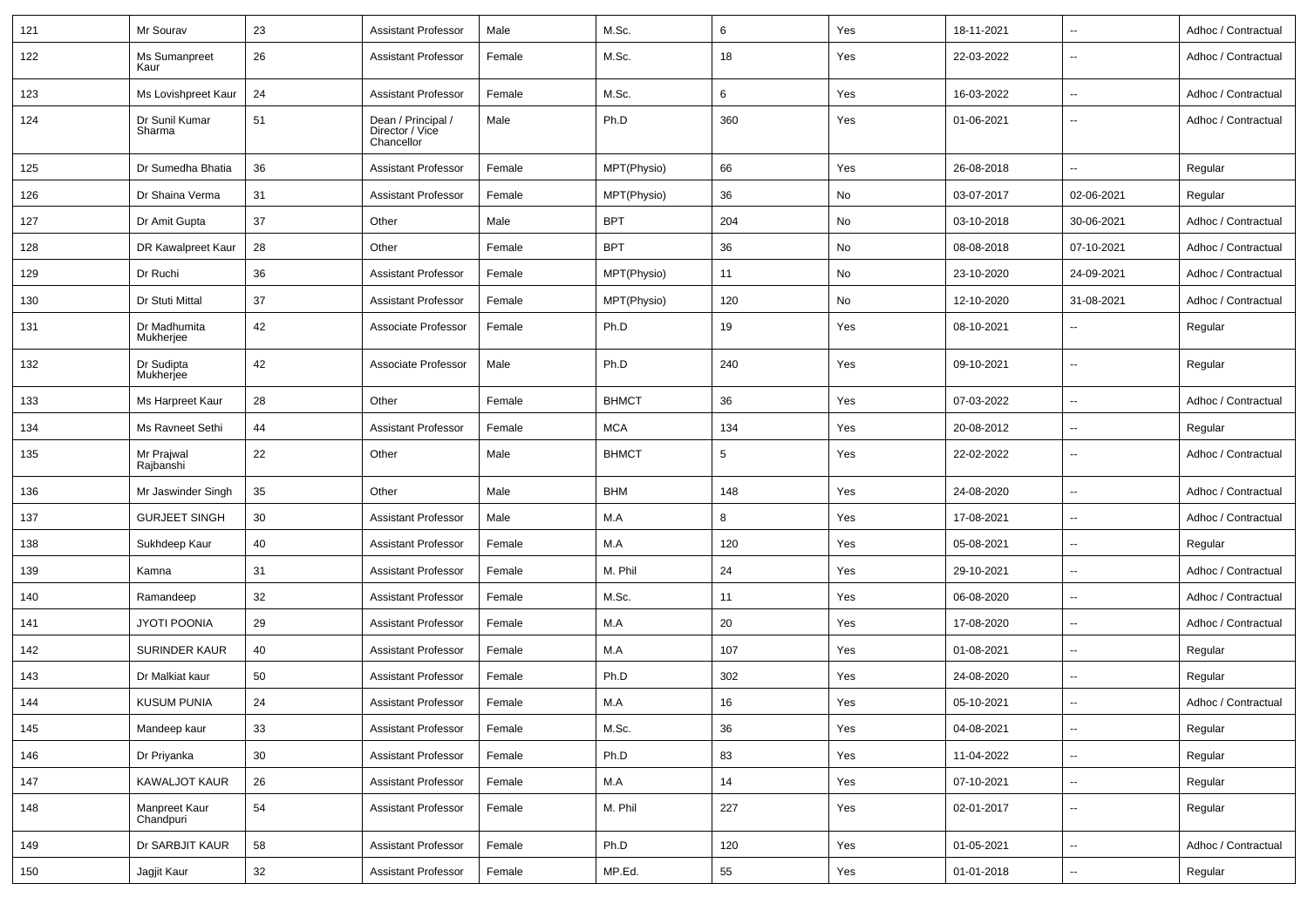| 121 | Mr Sourav                  | 23 | <b>Assistant Professor</b>                          | Male   | M.Sc.        | 6   | Yes | 18-11-2021 | $\sim$                   | Adhoc / Contractual |
|-----|----------------------------|----|-----------------------------------------------------|--------|--------------|-----|-----|------------|--------------------------|---------------------|
| 122 | Ms Sumanpreet<br>Kaur      | 26 | <b>Assistant Professor</b>                          | Female | M.Sc.        | 18  | Yes | 22-03-2022 | $\overline{\phantom{a}}$ | Adhoc / Contractual |
| 123 | Ms Lovishpreet Kaur        | 24 | <b>Assistant Professor</b>                          | Female | M.Sc.        | 6   | Yes | 16-03-2022 | $\overline{\phantom{a}}$ | Adhoc / Contractual |
| 124 | Dr Sunil Kumar<br>Sharma   | 51 | Dean / Principal /<br>Director / Vice<br>Chancellor | Male   | Ph.D         | 360 | Yes | 01-06-2021 | $\sim$                   | Adhoc / Contractual |
| 125 | Dr Sumedha Bhatia          | 36 | <b>Assistant Professor</b>                          | Female | MPT(Physio)  | 66  | Yes | 26-08-2018 | Ξ.                       | Regular             |
| 126 | Dr Shaina Verma            | 31 | <b>Assistant Professor</b>                          | Female | MPT(Physio)  | 36  | No  | 03-07-2017 | 02-06-2021               | Regular             |
| 127 | Dr Amit Gupta              | 37 | Other                                               | Male   | <b>BPT</b>   | 204 | No  | 03-10-2018 | 30-06-2021               | Adhoc / Contractual |
| 128 | DR Kawalpreet Kaur         | 28 | Other                                               | Female | <b>BPT</b>   | 36  | No  | 08-08-2018 | 07-10-2021               | Adhoc / Contractual |
| 129 | Dr Ruchi                   | 36 | Assistant Professor                                 | Female | MPT(Physio)  | 11  | No  | 23-10-2020 | 24-09-2021               | Adhoc / Contractual |
| 130 | Dr Stuti Mittal            | 37 | <b>Assistant Professor</b>                          | Female | MPT(Physio)  | 120 | No  | 12-10-2020 | 31-08-2021               | Adhoc / Contractual |
| 131 | Dr Madhumita<br>Mukherjee  | 42 | Associate Professor                                 | Female | Ph.D         | 19  | Yes | 08-10-2021 | $\overline{\phantom{a}}$ | Regular             |
| 132 | Dr Sudipta<br>Mukherjee    | 42 | Associate Professor                                 | Male   | Ph.D         | 240 | Yes | 09-10-2021 | $\overline{\phantom{a}}$ | Regular             |
| 133 | Ms Harpreet Kaur           | 28 | Other                                               | Female | <b>BHMCT</b> | 36  | Yes | 07-03-2022 | $\sim$                   | Adhoc / Contractual |
| 134 | Ms Ravneet Sethi           | 44 | <b>Assistant Professor</b>                          | Female | <b>MCA</b>   | 134 | Yes | 20-08-2012 | $\sim$                   | Regular             |
| 135 | Mr Prajwal<br>Rajbanshi    | 22 | Other                                               | Male   | <b>BHMCT</b> | 5   | Yes | 22-02-2022 | $\sim$                   | Adhoc / Contractual |
| 136 | Mr Jaswinder Singh         | 35 | Other                                               | Male   | <b>BHM</b>   | 148 | Yes | 24-08-2020 | $\sim$                   | Adhoc / Contractual |
| 137 | <b>GURJEET SINGH</b>       | 30 | <b>Assistant Professor</b>                          | Male   | M.A          | 8   | Yes | 17-08-2021 | $\sim$                   | Adhoc / Contractual |
| 138 | Sukhdeep Kaur              | 40 | <b>Assistant Professor</b>                          | Female | M.A          | 120 | Yes | 05-08-2021 | $\sim$                   | Regular             |
| 139 | Kamna                      | 31 | <b>Assistant Professor</b>                          | Female | M. Phil      | 24  | Yes | 29-10-2021 | $\overline{\phantom{a}}$ | Adhoc / Contractual |
| 140 | Ramandeep                  | 32 | <b>Assistant Professor</b>                          | Female | M.Sc.        | 11  | Yes | 06-08-2020 | $\overline{\phantom{a}}$ | Adhoc / Contractual |
| 141 | <b>JYOTI POONIA</b>        | 29 | <b>Assistant Professor</b>                          | Female | M.A          | 20  | Yes | 17-08-2020 | $\sim$                   | Adhoc / Contractual |
| 142 | <b>SURINDER KAUR</b>       | 40 | <b>Assistant Professor</b>                          | Female | M.A          | 107 | Yes | 01-08-2021 | $\sim$                   | Regular             |
| 143 | Dr Malkiat kaur            | 50 | <b>Assistant Professor</b>                          | Female | Ph.D         | 302 | Yes | 24-08-2020 | $\sim$                   | Regular             |
| 144 | <b>KUSUM PUNIA</b>         | 24 | <b>Assistant Professor</b>                          | Female | M.A          | 16  | Yes | 05-10-2021 | $\sim$                   | Adhoc / Contractual |
| 145 | Mandeep kaur               | 33 | <b>Assistant Professor</b>                          | Female | M.Sc.        | 36  | Yes | 04-08-2021 | $\sim$                   | Regular             |
| 146 | Dr Priyanka                | 30 | <b>Assistant Professor</b>                          | Female | Ph.D         | 83  | Yes | 11-04-2022 | $\overline{\phantom{a}}$ | Regular             |
| 147 | KAWALJOT KAUR              | 26 | <b>Assistant Professor</b>                          | Female | M.A          | 14  | Yes | 07-10-2021 | $\overline{\phantom{a}}$ | Regular             |
| 148 | Manpreet Kaur<br>Chandpuri | 54 | <b>Assistant Professor</b>                          | Female | M. Phil      | 227 | Yes | 02-01-2017 | $\sim$                   | Regular             |
| 149 | Dr SARBJIT KAUR            | 58 | <b>Assistant Professor</b>                          | Female | Ph.D         | 120 | Yes | 01-05-2021 | $\sim$                   | Adhoc / Contractual |
| 150 | Jagjit Kaur                | 32 | <b>Assistant Professor</b>                          | Female | MP.Ed.       | 55  | Yes | 01-01-2018 | $\overline{\phantom{a}}$ | Regular             |